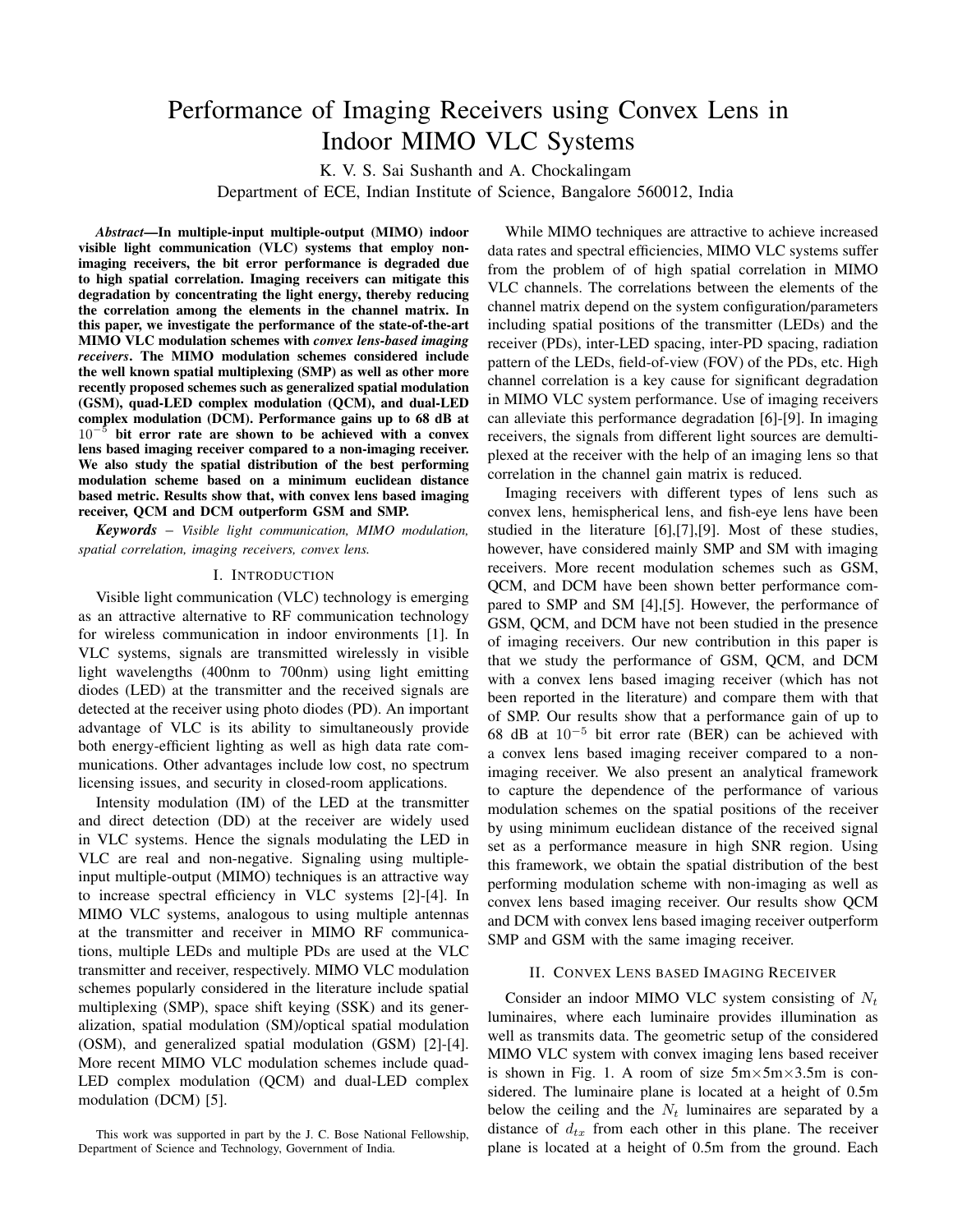# Performance of Imaging Receivers using Convex Lens in Indoor MIMO VLC Systems

K. V. S. Sai Sushanth and A. Chockalingam Department of ECE, Indian Institute of Science, Bangalore 560012, India

*Abstract*—In multiple-input multiple-output (MIMO) indoor visible light communication (VLC) systems that employ nonimaging receivers, the bit error performance is degraded due to high spatial correlation. Imaging receivers can mitigate this degradation by concentrating the light energy, thereby reducing the correlation among the elements in the channel matrix. In this paper, we investigate the performance of the state-of-the-art MIMO VLC modulation schemes with *convex lens-based imaging receivers*. The MIMO modulation schemes considered include the well known spatial multiplexing (SMP) as well as other more recently proposed schemes such as generalized spatial modulation (GSM), quad-LED complex modulation (QCM), and dual-LED complex modulation (DCM). Performance gains up to 68 dB at 10*−*<sup>5</sup> bit error rate are shown to be achieved with a convex lens based imaging receiver compared to a non-imaging receiver. We also study the spatial distribution of the best performing modulation scheme based on a minimum euclidean distance based metric. Results show that, with convex lens based imaging receiver, QCM and DCM outperform GSM and SMP.

*Keywords* – *Visible light communication, MIMO modulation, spatial correlation, imaging receivers, convex lens.*

### I. INTRODUCTION

Visible light communication (VLC) technology is emerging as an attractive alternative to RF communication technology for wireless communication in indoor environments [1]. In VLC systems, signals are transmitted wirelessly in visible light wavelengths (400nm to 700nm) using light emitting diodes (LED) at the transmitter and the received signals are detected at the receiver using photo diodes (PD). An important advantage of VLC is its ability to simultaneously provide both energy-efficient lighting as well as high data rate communications. Other advantages include low cost, no spectrum licensing issues, and security in closed-room applications.

Intensity modulation (IM) of the LED at the transmitter and direct detection (DD) at the receiver are widely used in VLC systems. Hence the signals modulating the LED in VLC are real and non-negative. Signaling using multipleinput multiple-output (MIMO) techniques is an attractive way to increase spectral efficiency in VLC systems [2]-[4]. In MIMO VLC systems, analogous to using multiple antennas at the transmitter and receiver in MIMO RF communications, multiple LEDs and multiple PDs are used at the VLC transmitter and receiver, respectively. MIMO VLC modulation schemes popularly considered in the literature include spatial multiplexing (SMP), space shift keying (SSK) and its generalization, spatial modulation (SM)/optical spatial modulation (OSM), and generalized spatial modulation (GSM) [2]-[4]. More recent MIMO VLC modulation schemes include quad-LED complex modulation (QCM) and dual-LED complex modulation (DCM) [5].

While MIMO techniques are attractive to achieve increased data rates and spectral efficiencies, MIMO VLC systems suffer from the problem of of high spatial correlation in MIMO VLC channels. The correlations between the elements of the channel matrix depend on the system configuration/parameters including spatial positions of the transmitter (LEDs) and the receiver (PDs), inter-LED spacing, inter-PD spacing, radiation pattern of the LEDs, field-of-view (FOV) of the PDs, etc. High channel correlation is a key cause for significant degradation in MIMO VLC system performance. Use of imaging receivers can alleviate this performance degradation [6]-[9]. In imaging receivers, the signals from different light sources are demultiplexed at the receiver with the help of an imaging lens so that correlation in the channel gain matrix is reduced.

Imaging receivers with different types of lens such as convex lens, hemispherical lens, and fish-eye lens have been studied in the literature [6],[7],[9]. Most of these studies, however, have considered mainly SMP and SM with imaging receivers. More recent modulation schemes such as GSM, QCM, and DCM have been shown better performance compared to SMP and SM [4],[5]. However, the performance of GSM, QCM, and DCM have not been studied in the presence of imaging receivers. Our new contribution in this paper is that we study the performance of GSM, QCM, and DCM with a convex lens based imaging receiver (which has not been reported in the literature) and compare them with that of SMP. Our results show that a performance gain of up to 68 dB at 10*−*<sup>5</sup> bit error rate (BER) can be achieved with a convex lens based imaging receiver compared to a nonimaging receiver. We also present an analytical framework to capture the dependence of the performance of various modulation schemes on the spatial positions of the receiver by using minimum euclidean distance of the received signal set as a performance measure in high SNR region. Using this framework, we obtain the spatial distribution of the best performing modulation scheme with non-imaging as well as convex lens based imaging receiver. Our results show QCM and DCM with convex lens based imaging receiver outperform SMP and GSM with the same imaging receiver.

## II. CONVEX LENS BASED IMAGING RECEIVER

Consider an indoor MIMO VLC system consisting of *N<sup>t</sup>* luminaires, where each luminaire provides illumination as well as transmits data. The geometric setup of the considered MIMO VLC system with convex imaging lens based receiver is shown in Fig. 1. A room of size 5m*×*5m*×*3.5m is considered. The luminaire plane is located at a height of 0.5m below the ceiling and the  $N_t$  luminaires are separated by a distance of  $d_{tx}$  from each other in this plane. The receiver plane is located at a height of 0.5m from the ground. Each

This work was supported in part by the J. C. Bose National Fellowship, Department of Science and Technology, Government of India.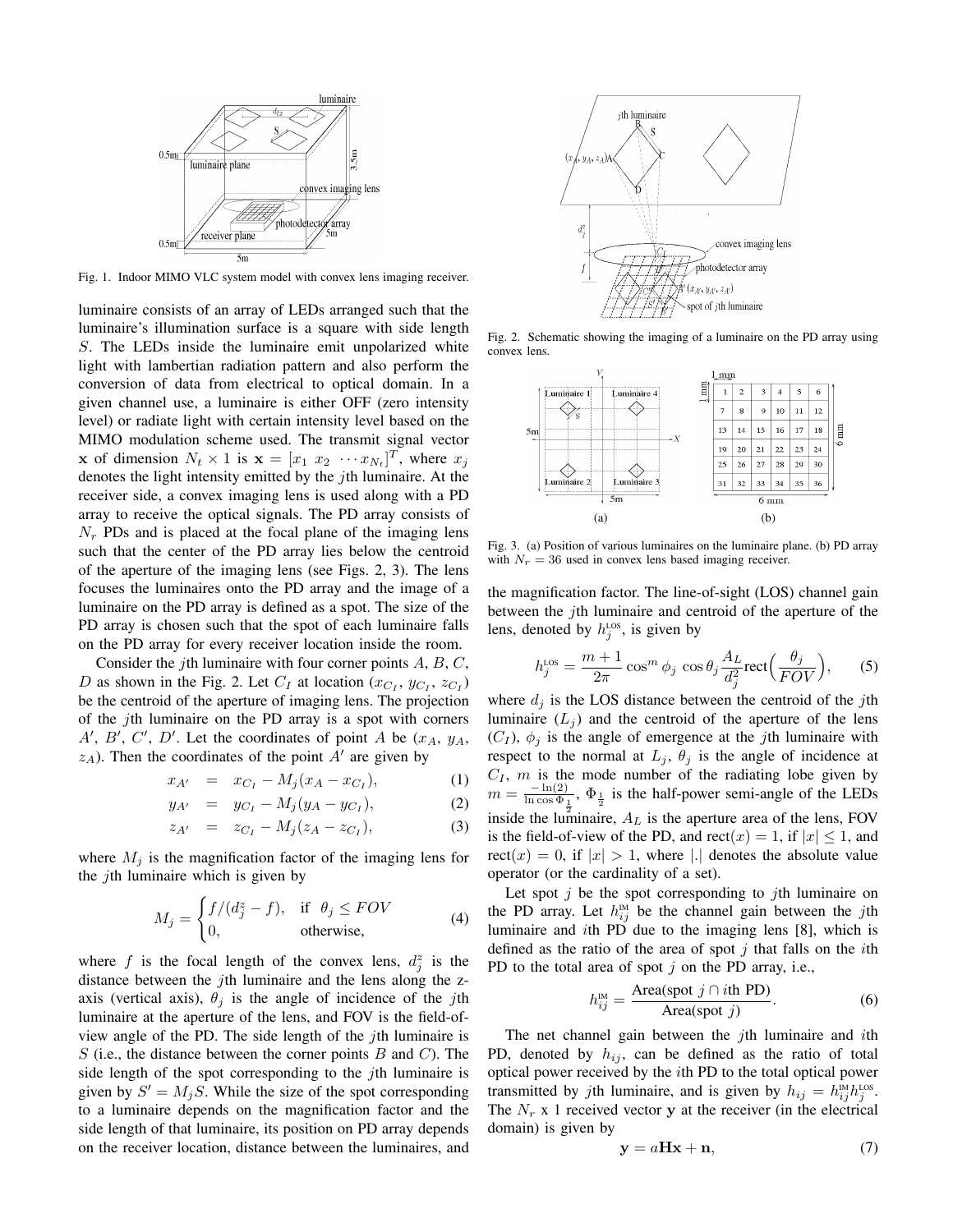

Fig. 1. Indoor MIMO VLC system model with convex lens imaging receiver.

luminaire consists of an array of LEDs arranged such that the luminaire's illumination surface is a square with side length *S*. The LEDs inside the luminaire emit unpolarized white light with lambertian radiation pattern and also perform the conversion of data from electrical to optical domain. In a given channel use, a luminaire is either OFF (zero intensity level) or radiate light with certain intensity level based on the MIMO modulation scheme used. The transmit signal vector **x** of dimension  $N_t \times 1$  is  $\mathbf{x} = [x_1 \ x_2 \ \cdots x_{N_t}]^T$ , where  $x_j$ denotes the light intensity emitted by the *j*th luminaire. At the receiver side, a convex imaging lens is used along with a PD array to receive the optical signals. The PD array consists of  $N_r$  PDs and is placed at the focal plane of the imaging lens such that the center of the PD array lies below the centroid of the aperture of the imaging lens (see Figs. 2, 3). The lens focuses the luminaires onto the PD array and the image of a luminaire on the PD array is defined as a spot. The size of the PD array is chosen such that the spot of each luminaire falls on the PD array for every receiver location inside the room.

Consider the *j*th luminaire with four corner points *A*, *B*, *C*, *D* as shown in the Fig. 2. Let  $C_I$  at location  $(x_{C_I}, y_{C_I}, z_{C_I})$ be the centroid of the aperture of imaging lens. The projection of the *j*th luminaire on the PD array is a spot with corners *A′* , *B′* , *C ′* , *D′* . Let the coordinates of point *A* be (*xA*, *yA*,  $z_A$ ). Then the coordinates of the point  $A'$  are given by

$$
x_{A'} = x_{C_I} - M_j(x_A - x_{C_I}), \tag{1}
$$

$$
y_{A'} = y_{C_I} - M_j(y_A - y_{C_I}), \tag{2}
$$

$$
z_{A'} = z_{C_I} - M_j(z_A - z_{C_I}), \tag{3}
$$

where  $M_j$  is the magnification factor of the imaging lens for the *j*th luminaire which is given by

$$
M_j = \begin{cases} f/(d_j^z - f), & \text{if } \theta_j \le FOV \\ 0, & \text{otherwise,} \end{cases}
$$
 (4)

where *f* is the focal length of the convex lens,  $d_j^z$  is the distance between the *j*th luminaire and the lens along the zaxis (vertical axis),  $\theta_j$  is the angle of incidence of the *j*th luminaire at the aperture of the lens, and FOV is the field-ofview angle of the PD. The side length of the *j*th luminaire is *S* (i.e., the distance between the corner points *B* and *C*). The side length of the spot corresponding to the *j*th luminaire is given by  $S' = M_j S$ . While the size of the spot corresponding to a luminaire depends on the magnification factor and the side length of that luminaire, its position on PD array depends on the receiver location, distance between the luminaires, and



Fig. 2. Schematic showing the imaging of a luminaire on the PD array using convex lens.



Fig. 3. (a) Position of various luminaires on the luminaire plane. (b) PD array with  $N_r = 36$  used in convex lens based imaging receiver.

the magnification factor. The line-of-sight (LOS) channel gain between the *j*th luminaire and centroid of the aperture of the lens, denoted by  $h_j^{\text{Los}}$ , is given by

$$
h_j^{\text{Los}} = \frac{m+1}{2\pi} \cos^m \phi_j \cos \theta_j \frac{A_L}{d_j^2} \text{rect}\left(\frac{\theta_j}{FOV}\right),\qquad(5)
$$

where  $d_j$  is the LOS distance between the centroid of the *j*th luminaire  $(L_i)$  and the centroid of the aperture of the lens  $(C_I)$ ,  $\phi_i$  is the angle of emergence at the *j*th luminaire with respect to the normal at  $L_j$ ,  $\theta_j$  is the angle of incidence at  $C_I$ , *m* is the mode number of the radiating lobe given by  $m = \frac{-\ln(2)}{\ln \cos \Phi_1}$ ,  $\Phi_{\frac{1}{2}}$  is the half-power semi-angle of the LEDs inside the luminaire,  $A_L$  is the aperture area of the lens, FOV is the field-of-view of the PD, and  $rect(x) = 1$ , if  $|x| \le 1$ , and  $rect(x) = 0$ , if  $|x| > 1$ , where *|.|* denotes the absolute value operator (or the cardinality of a set).

Let spot *j* be the spot corresponding to *j*th luminaire on the PD array. Let  $h_{ij}^{\text{M}}$  be the channel gain between the *j*th luminaire and *i*th PD due to the imaging lens [8], which is defined as the ratio of the area of spot *j* that falls on the *i*th PD to the total area of spot *j* on the PD array, i.e.,

$$
h_{ij}^{\text{IM}} = \frac{\text{Area(spot } j \cap i\text{th PD})}{\text{Area(spot } j)}.
$$
 (6)

The net channel gain between the *j*th luminaire and *i*th PD, denoted by  $h_{ij}$ , can be defined as the ratio of total optical power received by the *i*th PD to the total optical power transmitted by *j*th luminaire, and is given by  $h_{ij} = h_{ij}^{\text{M}} h_j^{\text{Los}}$ . The  $N_r$  x 1 received vector **y** at the receiver (in the electrical domain) is given by

$$
y = aHx + n,\t\t(7)
$$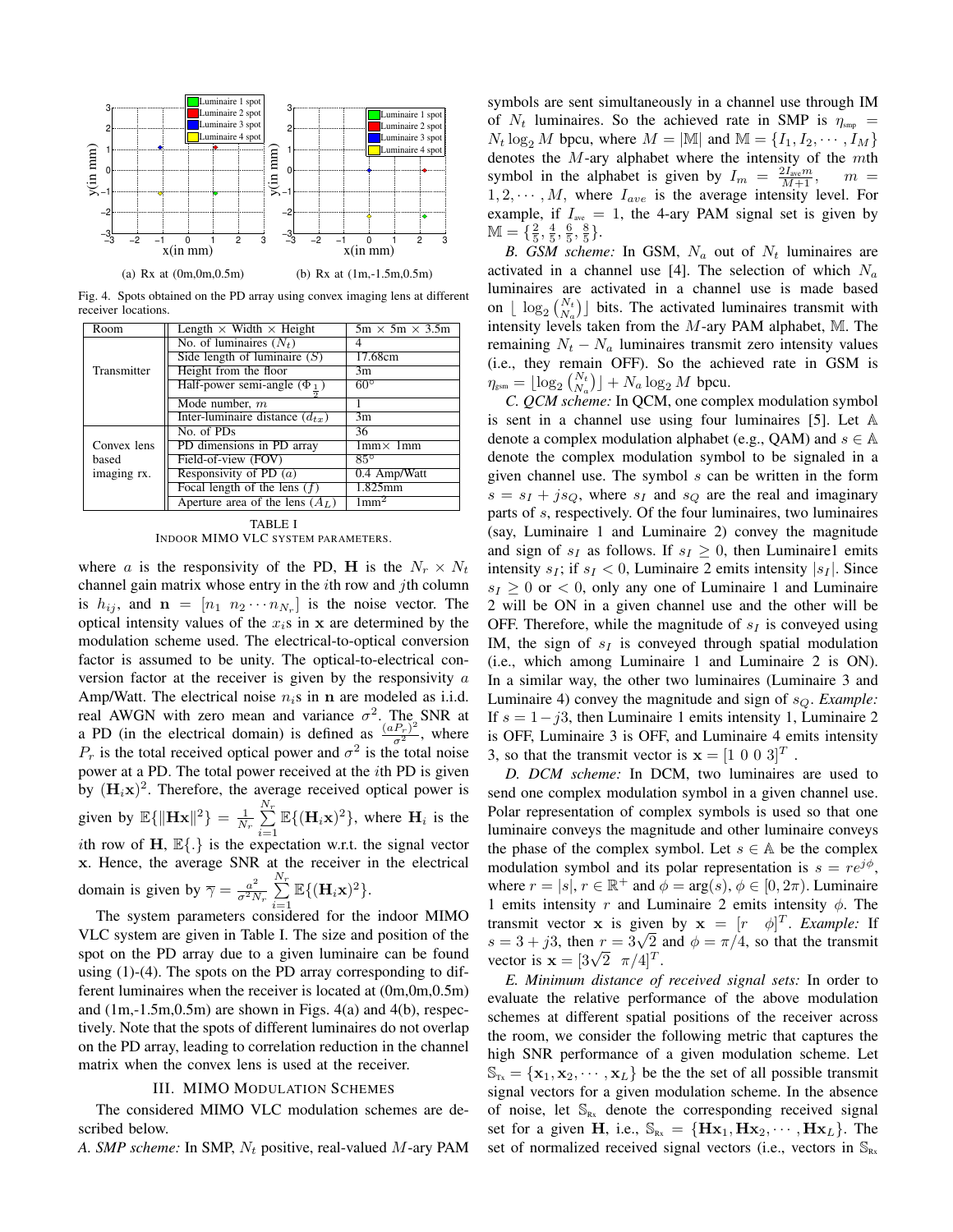

Fig. 4. Spots obtained on the PD array using convex imaging lens at different receiver locations.

| Room        | Length $\times$ Width $\times$ Height | $5m \times 5m \times 3.5m$ |  |
|-------------|---------------------------------------|----------------------------|--|
|             | No. of luminaires $(N_t)$             |                            |  |
|             | Side length of luminaire $(S)$        | 17.68cm                    |  |
| Transmitter | Height from the floor                 | 3m                         |  |
|             | Half-power semi-angle $(\Phi_1)$      | $60^\circ$                 |  |
|             | Mode number, $m$                      |                            |  |
|             | Inter-luminaire distance $(d_{tx})$   | 3m                         |  |
|             | No. of PDs                            | 36                         |  |
| Convex lens | PD dimensions in PD array             | $1mm \times 1mm$           |  |
| based       | Field-of-view (FOV)                   | $85^\circ$                 |  |
| imaging rx. | Responsivity of PD $(a)$              | 0.4 Amp/Watt               |  |
|             | Focal length of the lens $(f)$        | $1.825$ mm                 |  |
|             | Aperture area of the lens $(A_L)$     | 1mm <sup>2</sup>           |  |

TABLE I INDOOR MIMO VLC SYSTEM PARAMETERS.

where *a* is the responsivity of the PD, **H** is the  $N_r \times N_t$ channel gain matrix whose entry in the *i*th row and *j*th column is  $h_{ij}$ , and  $\mathbf{n} = [n_1 \ n_2 \cdots n_{N_r}]$  is the noise vector. The optical intensity values of the  $x_i$ s in  $x_i$  are determined by the modulation scheme used. The electrical-to-optical conversion factor is assumed to be unity. The optical-to-electrical conversion factor at the receiver is given by the responsivity *a* Amp/Watt. The electrical noise  $n_i$ s in **n** are modeled as i.i.d. real AWGN with zero mean and variance  $\sigma^2$ . The SNR at a PD (in the electrical domain) is defined as  $\frac{(aP_r)^2}{\sigma^2}$ , where  $P_r$  is the total received optical power and  $\sigma^2$  is the total noise power at a PD. The total power received at the *i*th PD is given by  $(\mathbf{H}_i \mathbf{x})^2$ . Therefore, the average received optical power is given by  $\mathbb{E}\{\|\mathbf{Hx}\|^2\} = \frac{1}{N_r} \sum_{i=1}^{N_r}$  $\sum_{i=1}^{n} \mathbb{E}\{(\mathbf{H}_i \mathbf{x})^2\}$ , where  $\mathbf{H}_i$  is the *i*th row of **H**, E*{.}* is the expectation w.r.t. the signal vector **x**. Hence, the average SNR at the receiver in the electrical domain is given by  $\overline{\gamma} = \frac{a^2}{\sigma^2 N}$  $rac{a^2}{\sigma^2 N_r} \sum_{r=1}^{N_r}$  $\sum_{i=1}^{n} \mathbb{E}\{(\mathbf{H}_i\mathbf{x})^2\}.$ 

The system parameters considered for the indoor MIMO VLC system are given in Table I. The size and position of the spot on the PD array due to a given luminaire can be found using (1)-(4). The spots on the PD array corresponding to different luminaires when the receiver is located at (0m,0m,0.5m) and  $(1m,-1.5m,0.5m)$  are shown in Figs.  $4(a)$  and  $4(b)$ , respectively. Note that the spots of different luminaires do not overlap on the PD array, leading to correlation reduction in the channel matrix when the convex lens is used at the receiver.

## III. MIMO MODULATION SCHEMES

The considered MIMO VLC modulation schemes are described below.

*A. SMP scheme:* In SMP, *N<sup>t</sup>* positive, real-valued *M*-ary PAM

symbols are sent simultaneously in a channel use through IM of  $N_t$  luminaires. So the achieved rate in SMP is  $\eta_{\rm smp}$  =  $N_t \log_2 M$  bpcu, where  $M = |M|$  and  $M = \{I_1, I_2, \dots, I_M\}$ denotes the *M*-ary alphabet where the intensity of the *m*th symbol in the alphabet is given by  $I_m = \frac{2I_{\text{ave}}m}{M+1}$ ,  $m =$  $1, 2, \cdots, M$ , where  $I_{ave}$  is the average intensity level. For example, if  $I_{ave} = 1$ , the 4-ary PAM signal set is given by  $M = {\frac{2}{5}, \frac{4}{5}, \frac{6}{5}, \frac{8}{5}}.$ 

*B. GSM scheme:* In GSM,  $N_a$  out of  $N_t$  luminaires are activated in a channel use [4]. The selection of which *N<sup>a</sup>* luminaires are activated in a channel use is made based on  $\lfloor \log_2 \binom{N_t}{N_a} \rfloor$  bits. The activated luminaires transmit with intensity levels taken from the *M*-ary PAM alphabet, M. The remaining  $N_t - N_a$  luminaires transmit zero intensity values (i.e., they remain OFF). So the achieved rate in GSM is  $\eta_{\text{gsm}} = \lfloor \log_2 \binom{N_t}{N_a} \rfloor + N_a \log_2 M$  bpcu.

*C. QCM scheme:* In QCM, one complex modulation symbol is sent in a channel use using four luminaires [5]. Let A denote a complex modulation alphabet (e.g., OAM) and  $s \in A$ denote the complex modulation symbol to be signaled in a given channel use. The symbol *s* can be written in the form  $s = s_I + j s_Q$ , where  $s_I$  and  $s_Q$  are the real and imaginary parts of *s*, respectively. Of the four luminaires, two luminaires (say, Luminaire 1 and Luminaire 2) convey the magnitude and sign of  $s_I$  as follows. If  $s_I \geq 0$ , then Luminaire1 emits intensity  $s_I$ ; if  $s_I < 0$ , Luminaire 2 emits intensity  $|s_I|$ . Since  $s_I \geq 0$  or  $\lt 0$ , only any one of Luminaire 1 and Luminaire 2 will be ON in a given channel use and the other will be OFF. Therefore, while the magnitude of *s<sup>I</sup>* is conveyed using IM, the sign of *s<sup>I</sup>* is conveyed through spatial modulation (i.e., which among Luminaire 1 and Luminaire 2 is ON). In a similar way, the other two luminaires (Luminaire 3 and Luminaire 4) convey the magnitude and sign of *sQ*. *Example:* If *s* = 1*−j*3, then Luminaire 1 emits intensity 1, Luminaire 2 is OFF, Luminaire 3 is OFF, and Luminaire 4 emits intensity 3, so that the transmit vector is  $\mathbf{x} = \begin{bmatrix} 1 & 0 & 0 & 3 \end{bmatrix}^T$ .

*D. DCM scheme:* In DCM, two luminaires are used to send one complex modulation symbol in a given channel use. Polar representation of complex symbols is used so that one luminaire conveys the magnitude and other luminaire conveys the phase of the complex symbol. Let  $s \in A$  be the complex modulation symbol and its polar representation is  $s = re^{j\phi}$ , where  $r = |s|, r \in \mathbb{R}^+$  and  $\phi = \arg(s), \phi \in [0, 2\pi)$ . Luminaire 1 emits intensity *r* and Luminaire 2 emits intensity *ϕ*. The transmit vector **x** is given by  $\mathbf{x} = [r \quad \phi]^T$ . *Example:* If *s* = 3 + *j*3, then  $r = 3\sqrt{2}$  and  $\phi = \pi/4$ , so that the transmit  $s = 3 + 33$ , then  $r = 3\sqrt{2}$  *x*<br>vector is  $\mathbf{x} = [3\sqrt{2} \ \pi/4]^T$ .

*E. Minimum distance of received signal sets:* In order to evaluate the relative performance of the above modulation schemes at different spatial positions of the receiver across the room, we consider the following metric that captures the high SNR performance of a given modulation scheme. Let  $\mathbb{S}_{\text{Tx}} = {\mathbf{x}_1, \mathbf{x}_2, \cdots, \mathbf{x}_L}$  be the the set of all possible transmit signal vectors for a given modulation scheme. In the absence of noise, let  $\mathbb{S}_{Rx}$  denote the corresponding received signal set for a given **H**, i.e.,  $\mathbb{S}_{Rx} = \{H\mathbf{x}_1, H\mathbf{x}_2, \cdots, H\mathbf{x}_L\}$ . The set of normalized received signal vectors (i.e., vectors in  $\mathbb{S}_{\text{Rx}}$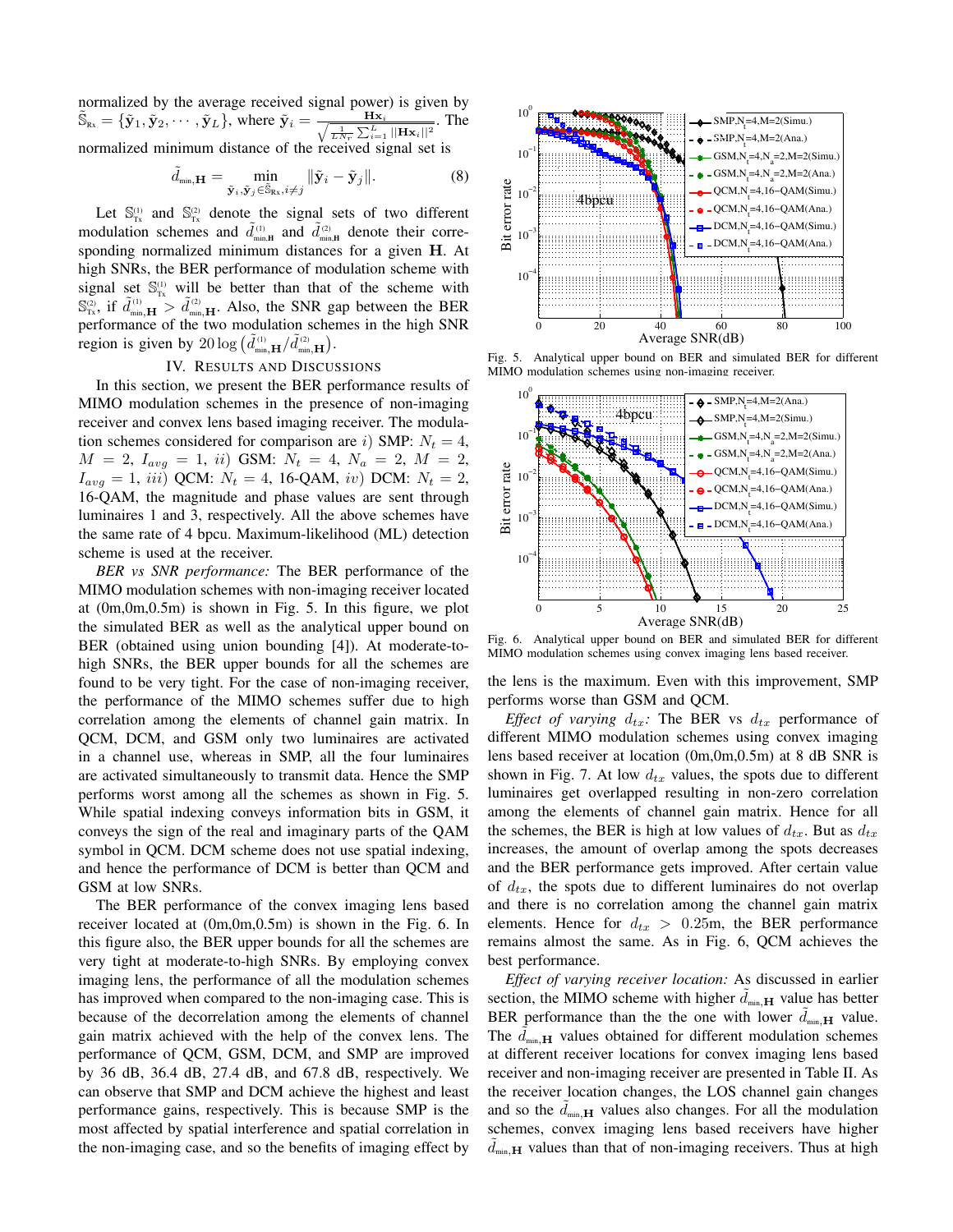normalized by the average received signal power) is given by  $\tilde{S}_{\text{Rx}} = {\{\tilde{\mathbf{y}}_1, \tilde{\mathbf{y}}_2, \cdots, \tilde{\mathbf{y}}_L\}}, \text{ where } \tilde{\mathbf{y}}_i = \frac{\mathbf{H}\mathbf{x}_i}{\sqrt{\frac{1}{LN_r}\sum_{i=1}^{L}||\mathbf{H}\mathbf{x}_i||^2}}.$  The normalized minimum distance of the received signal set is

$$
\tilde{d}_{\min,\mathbf{H}} = \min_{\tilde{\mathbf{y}}_i, \tilde{\mathbf{y}}_j \in \tilde{\mathbb{S}}_{\mathrm{Rx}}, i \neq j} \| \tilde{\mathbf{y}}_i - \tilde{\mathbf{y}}_j \|.
$$
 (8)

Let  $\mathbb{S}_{\tau_x}^{(1)}$  and  $\mathbb{S}_{\tau_x}^{(2)}$  denote the signal sets of two different modulation schemes and  $\tilde{d}^{(1)}_{min,H}$  and  $\tilde{d}^{(2)}_{min,H}$  denote their corresponding normalized minimum distances for a given **H**. At high SNRs, the BER performance of modulation scheme with signal set  $\mathbb{S}_{\tau_x}^{(1)}$  will be better than that of the scheme with  $\mathbb{S}_{\text{Tx}}^{(2)}$ , if  $\tilde{d}_{\text{min},\mathbf{H}}^{(1)} > \tilde{d}_{\text{min},\mathbf{H}}^{(2)}$ . Also, the SNR gap between the BER performance of the two modulation schemes in the high SNR region is given by  $20 \log \left( \tilde{d}_{\min,\mathbf{H}}^{(1)} / \tilde{d}_{\min,\mathbf{H}}^{(2)} \right)$ .

## IV. RESULTS AND DISCUSSIONS

In this section, we present the BER performance results of MIMO modulation schemes in the presence of non-imaging receiver and convex lens based imaging receiver. The modulation schemes considered for comparison are *i*) SMP:  $N_t = 4$ ,  $M = 2$ ,  $I_{avg} = 1$ , *ii*) GSM:  $N_t = 4$ ,  $N_a = 2$ ,  $M = 2$ ,  $I_{avg} = 1$ , *iii*) QCM:  $N_t = 4$ , 16-QAM, *iv*) DCM:  $N_t = 2$ , 16-QAM, the magnitude and phase values are sent through luminaires 1 and 3, respectively. All the above schemes have the same rate of 4 bpcu. Maximum-likelihood (ML) detection scheme is used at the receiver.

*BER vs SNR performance:* The BER performance of the MIMO modulation schemes with non-imaging receiver located at (0m,0m,0.5m) is shown in Fig. 5. In this figure, we plot the simulated BER as well as the analytical upper bound on BER (obtained using union bounding [4]). At moderate-tohigh SNRs, the BER upper bounds for all the schemes are found to be very tight. For the case of non-imaging receiver, the performance of the MIMO schemes suffer due to high correlation among the elements of channel gain matrix. In QCM, DCM, and GSM only two luminaires are activated in a channel use, whereas in SMP, all the four luminaires are activated simultaneously to transmit data. Hence the SMP performs worst among all the schemes as shown in Fig. 5. While spatial indexing conveys information bits in GSM, it conveys the sign of the real and imaginary parts of the QAM symbol in QCM. DCM scheme does not use spatial indexing, and hence the performance of DCM is better than QCM and GSM at low SNRs.

The BER performance of the convex imaging lens based receiver located at (0m,0m,0.5m) is shown in the Fig. 6. In this figure also, the BER upper bounds for all the schemes are very tight at moderate-to-high SNRs. By employing convex imaging lens, the performance of all the modulation schemes has improved when compared to the non-imaging case. This is because of the decorrelation among the elements of channel gain matrix achieved with the help of the convex lens. The performance of QCM, GSM, DCM, and SMP are improved by 36 dB, 36.4 dB, 27.4 dB, and 67.8 dB, respectively. We can observe that SMP and DCM achieve the highest and least performance gains, respectively. This is because SMP is the most affected by spatial interference and spatial correlation in the non-imaging case, and so the benefits of imaging effect by



Fig. 5. Analytical upper bound on BER and simulated BER for different MIMO modulation schemes using non-imaging receiver.



Fig. 6. Analytical upper bound on BER and simulated BER for different MIMO modulation schemes using convex imaging lens based receiver.

the lens is the maximum. Even with this improvement, SMP performs worse than GSM and QCM.

*Effect of varying*  $d_{tx}$ *:* The BER vs  $d_{tx}$  performance of different MIMO modulation schemes using convex imaging lens based receiver at location (0m,0m,0.5m) at 8 dB SNR is shown in Fig. 7. At low  $d_{tx}$  values, the spots due to different luminaires get overlapped resulting in non-zero correlation among the elements of channel gain matrix. Hence for all the schemes, the BER is high at low values of  $d_{tx}$ . But as  $d_{tx}$ increases, the amount of overlap among the spots decreases and the BER performance gets improved. After certain value of *dtx*, the spots due to different luminaires do not overlap and there is no correlation among the channel gain matrix elements. Hence for  $d_{tx} > 0.25$ m, the BER performance remains almost the same. As in Fig. 6, QCM achieves the best performance.

*Effect of varying receiver location:* As discussed in earlier section, the MIMO scheme with higher  $d_{\min, \mathbf{H}}$  value has better BER performance than the the one with lower  $d_{\min,\mathbf{H}}$  value. The  $d_{min, H}$  values obtained for different modulation schemes at different receiver locations for convex imaging lens based receiver and non-imaging receiver are presented in Table II. As the receiver location changes, the LOS channel gain changes and so the  $d_{\min,\mathbf{H}}$  values also changes. For all the modulation schemes, convex imaging lens based receivers have higher  $d_{\min, \mathbf{H}}$  values than that of non-imaging receivers. Thus at high